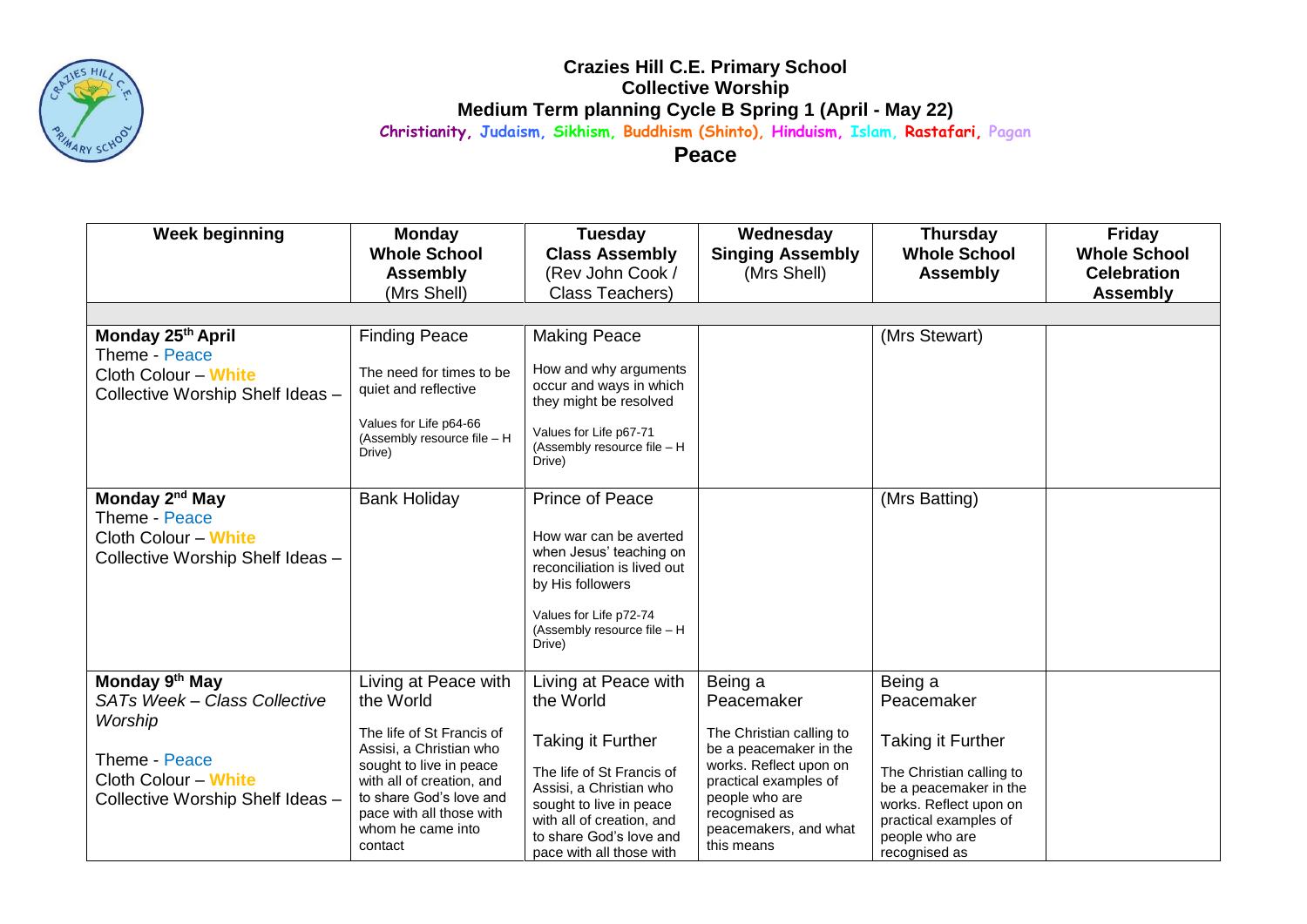

## **Crazies Hill C.E. Primary School Collective Worship Medium Term planning Cycle B Spring 1 (April - May 22) Christianity, Judaism, Sikhism, Buddhism (Shinto), Hinduism, Islam, Rastafari, Pagan**

**Peace**

| <b>Week beginning</b>                                                                                                                              | <b>Monday</b><br><b>Whole School</b><br><b>Assembly</b><br>(Mrs Shell)                                                                                                                                                                   | <b>Tuesday</b><br><b>Class Assembly</b><br>(Rev John Cook /<br>Class Teachers)                                                                                                                                                | Wednesday<br><b>Singing Assembly</b><br>(Mrs Shell)                                                                                                                                                      | <b>Thursday</b><br><b>Whole School</b><br><b>Assembly</b>                                                                                                                                     | <b>Friday</b><br><b>Whole School</b><br><b>Celebration</b><br><b>Assembly</b> |  |  |  |  |
|----------------------------------------------------------------------------------------------------------------------------------------------------|------------------------------------------------------------------------------------------------------------------------------------------------------------------------------------------------------------------------------------------|-------------------------------------------------------------------------------------------------------------------------------------------------------------------------------------------------------------------------------|----------------------------------------------------------------------------------------------------------------------------------------------------------------------------------------------------------|-----------------------------------------------------------------------------------------------------------------------------------------------------------------------------------------------|-------------------------------------------------------------------------------|--|--|--|--|
|                                                                                                                                                    |                                                                                                                                                                                                                                          |                                                                                                                                                                                                                               |                                                                                                                                                                                                          |                                                                                                                                                                                               |                                                                               |  |  |  |  |
| Monday 25th April<br>Theme - Peace<br><b>Cloth Colour - White</b><br>Collective Worship Shelf Ideas -                                              | <b>Finding Peace</b><br>The need for times to be<br>quiet and reflective<br>Values for Life p64-66<br>(Assembly resource file - H<br>Drive)                                                                                              | <b>Making Peace</b><br>How and why arguments<br>occur and ways in which<br>they might be resolved<br>Values for Life p67-71<br>(Assembly resource file - H<br>Drive)                                                          |                                                                                                                                                                                                          | (Mrs Stewart)                                                                                                                                                                                 |                                                                               |  |  |  |  |
| Monday 2 <sup>nd</sup> May<br>Theme - Peace<br><b>Cloth Colour - White</b><br>Collective Worship Shelf Ideas -                                     | <b>Bank Holiday</b>                                                                                                                                                                                                                      | Prince of Peace<br>How war can be averted<br>when Jesus' teaching on<br>reconciliation is lived out<br>by His followers<br>Values for Life p72-74<br>(Assembly resource file - H<br>Drive)                                    |                                                                                                                                                                                                          | (Mrs Batting)                                                                                                                                                                                 |                                                                               |  |  |  |  |
| Monday 9 <sup>th</sup> May<br>SATs Week - Class Collective<br>Worship<br>Theme - Peace<br>Cloth Colour - White<br>Collective Worship Shelf Ideas - | Living at Peace with<br>the World<br>The life of St Francis of<br>Assisi, a Christian who<br>sought to live in peace<br>with all of creation, and<br>to share God's love and<br>pace with all those with<br>whom he came into<br>contact | Living at Peace with<br>the World<br>Taking it Further<br>The life of St Francis of<br>Assisi, a Christian who<br>sought to live in peace<br>with all of creation, and<br>to share God's love and<br>pace with all those with | Being a<br>Peacemaker<br>The Christian calling to<br>be a peacemaker in the<br>works. Reflect upon on<br>practical examples of<br>people who are<br>recognised as<br>peacemakers, and what<br>this means | Being a<br>Peacemaker<br><b>Taking it Further</b><br>The Christian calling to<br>be a peacemaker in the<br>works. Reflect upon on<br>practical examples of<br>people who are<br>recognised as |                                                                               |  |  |  |  |